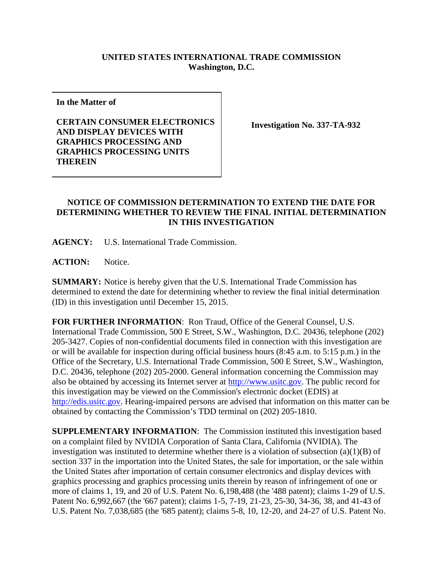## **UNITED STATES INTERNATIONAL TRADE COMMISSION Washington, D.C.**

**In the Matter of**

**CERTAIN CONSUMER ELECTRONICS AND DISPLAY DEVICES WITH GRAPHICS PROCESSING AND GRAPHICS PROCESSING UNITS THEREIN**

**Investigation No. 337-TA-932**

## **NOTICE OF COMMISSION DETERMINATION TO EXTEND THE DATE FOR DETERMINING WHETHER TO REVIEW THE FINAL INITIAL DETERMINATION IN THIS INVESTIGATION**

**AGENCY:** U.S. International Trade Commission.

**ACTION:** Notice.

**SUMMARY:** Notice is hereby given that the U.S. International Trade Commission has determined to extend the date for determining whether to review the final initial determination (ID) in this investigation until December 15, 2015.

**FOR FURTHER INFORMATION**: Ron Traud, Office of the General Counsel, U.S. International Trade Commission, 500 E Street, S.W., Washington, D.C. 20436, telephone (202) 205-3427. Copies of non-confidential documents filed in connection with this investigation are or will be available for inspection during official business hours (8:45 a.m. to 5:15 p.m.) in the Office of the Secretary, U.S. International Trade Commission, 500 E Street, S.W., Washington, D.C. 20436, telephone (202) 205-2000. General information concerning the Commission may also be obtained by accessing its Internet server at [http://www.usitc.gov.](http://www.usitc.gov/) The public record for this investigation may be viewed on the Commission's electronic docket (EDIS) at [http://edis.usitc.gov.](http://edis.usitc.gov/) Hearing-impaired persons are advised that information on this matter can be obtained by contacting the Commission's TDD terminal on (202) 205-1810.

**SUPPLEMENTARY INFORMATION**: The Commission instituted this investigation based on a complaint filed by NVIDIA Corporation of Santa Clara, California (NVIDIA). The investigation was instituted to determine whether there is a violation of subsection  $(a)(1)(B)$  of section 337 in the importation into the United States, the sale for importation, or the sale within the United States after importation of certain consumer electronics and display devices with graphics processing and graphics processing units therein by reason of infringement of one or more of claims 1, 19, and 20 of U.S. Patent No. 6,198,488 (the '488 patent); claims 1-29 of U.S. Patent No. 6,992,667 (the '667 patent); claims 1-5, 7-19, 21-23, 25-30, 34-36, 38, and 41-43 of U.S. Patent No. 7,038,685 (the '685 patent); claims 5-8, 10, 12-20, and 24-27 of U.S. Patent No.